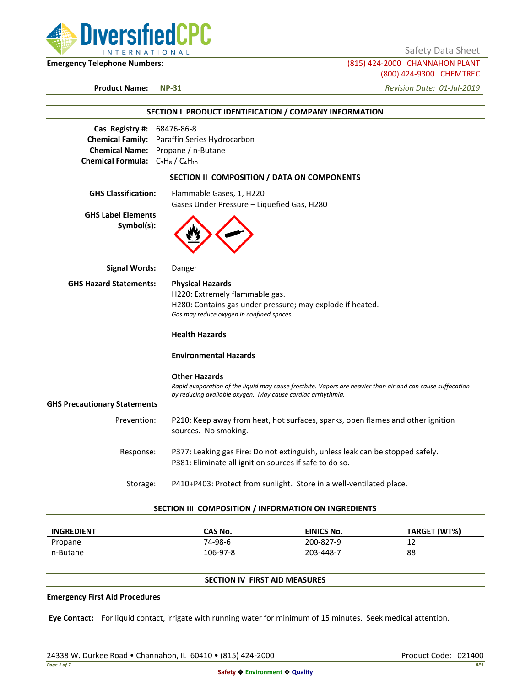

Safety Data Sheet

**Emergency Telephone Numbers:** (815) 424-2000 CHANNAHON PLANT (800) 424-9300 CHEMTREC

**Product Name: NP-31** *Revision Date: 01-Jul-2019*

|                                                                                                         | SECTION I PRODUCT IDENTIFICATION / COMPANY INFORMATION                                                                                                                                            |
|---------------------------------------------------------------------------------------------------------|---------------------------------------------------------------------------------------------------------------------------------------------------------------------------------------------------|
| Cas Registry #: 68476-86-8<br>Chemical Name: Propane / n-Butane<br>Chemical Formula: $C_3H_8/C_4H_{10}$ | Chemical Family: Paraffin Series Hydrocarbon                                                                                                                                                      |
|                                                                                                         | SECTION II COMPOSITION / DATA ON COMPONENTS                                                                                                                                                       |
| <b>GHS Classification:</b>                                                                              | Flammable Gases, 1, H220<br>Gases Under Pressure - Liquefied Gas, H280                                                                                                                            |
| <b>GHS Label Elements</b><br>Symbol(s):                                                                 |                                                                                                                                                                                                   |
| <b>Signal Words:</b>                                                                                    | Danger                                                                                                                                                                                            |
| <b>GHS Hazard Statements:</b>                                                                           | <b>Physical Hazards</b><br>H220: Extremely flammable gas.<br>H280: Contains gas under pressure; may explode if heated.<br>Gas may reduce oxygen in confined spaces.<br><b>Health Hazards</b>      |
|                                                                                                         | <b>Environmental Hazards</b>                                                                                                                                                                      |
| <b>GHS Precautionary Statements</b>                                                                     | <b>Other Hazards</b><br>Rapid evaporation of the liquid may cause frostbite. Vapors are heavier than air and can cause suffocation<br>by reducing available oxygen. May cause cardiac arrhythmia. |
| Prevention:                                                                                             | P210: Keep away from heat, hot surfaces, sparks, open flames and other ignition<br>sources. No smoking.                                                                                           |
| Response:                                                                                               | P377: Leaking gas Fire: Do not extinguish, unless leak can be stopped safely.<br>P381: Eliminate all ignition sources if safe to do so.                                                           |
| Storage:                                                                                                | P410+P403: Protect from sunlight. Store in a well-ventilated place.                                                                                                                               |
|                                                                                                         | SECTION III COMPOSITION / INFORMATION ON INGREDIENTS                                                                                                                                              |

| <b>INGREDIENT</b> | CAS No.  | <b>EINICS No.</b> | TARGET (WT%) |
|-------------------|----------|-------------------|--------------|
| Propane           | 74-98-6  | 200-827-9         | 12           |
| n-Butane          | 106-97-8 | 203-448-7         | 88           |

# **SECTION IV FIRST AID MEASURES**

#### **Emergency First Aid Procedures**

**Eye Contact:** For liquid contact, irrigate with running water for minimum of 15 minutes. Seek medical attention.

24338 W. Durkee Road • Channahon, IL 60410 • (815) 424-2000 Product Code: 021400 Product Code: 021400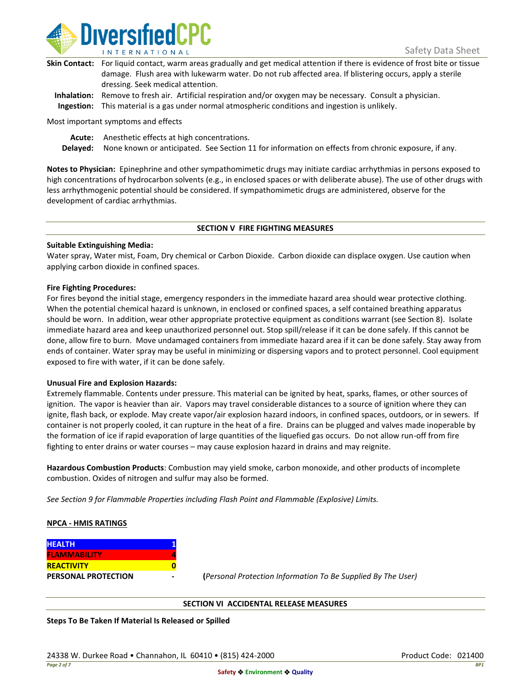

| Skin Contact: For liquid contact, warm areas gradually and get medical attention if there is evidence of frost bite or tissue |
|-------------------------------------------------------------------------------------------------------------------------------|
| damage. Flush area with lukewarm water. Do not rub affected area. If blistering occurs, apply a sterile                       |
| dressing. Seek medical attention.                                                                                             |
|                                                                                                                               |

**Inhalation:** Remove to fresh air. Artificial respiration and/or oxygen may be necessary. Consult a physician. **Ingestion:** This material is a gas under normal atmospheric conditions and ingestion is unlikely.

Most important symptoms and effects

**Acute:** Anesthetic effects at high concentrations.

**Delayed:** None known or anticipated. See Section 11 for information on effects from chronic exposure, if any.

**Notes to Physician:** Epinephrine and other sympathomimetic drugs may initiate cardiac arrhythmias in persons exposed to high concentrations of hydrocarbon solvents (e.g., in enclosed spaces or with deliberate abuse). The use of other drugs with less arrhythmogenic potential should be considered. If sympathomimetic drugs are administered, observe for the development of cardiac arrhythmias.

### **SECTION V FIRE FIGHTING MEASURES**

### **Suitable Extinguishing Media:**

Water spray, Water mist, Foam, Dry chemical or Carbon Dioxide. Carbon dioxide can displace oxygen. Use caution when applying carbon dioxide in confined spaces.

### **Fire Fighting Procedures:**

For fires beyond the initial stage, emergency responders in the immediate hazard area should wear protective clothing. When the potential chemical hazard is unknown, in enclosed or confined spaces, a self contained breathing apparatus should be worn. In addition, wear other appropriate protective equipment as conditions warrant (see Section 8). Isolate immediate hazard area and keep unauthorized personnel out. Stop spill/release if it can be done safely. If this cannot be done, allow fire to burn. Move undamaged containers from immediate hazard area if it can be done safely. Stay away from ends of container. Water spray may be useful in minimizing or dispersing vapors and to protect personnel. Cool equipment exposed to fire with water, if it can be done safely.

### **Unusual Fire and Explosion Hazards:**

Extremely flammable. Contents under pressure. This material can be ignited by heat, sparks, flames, or other sources of ignition. The vapor is heavier than air. Vapors may travel considerable distances to a source of ignition where they can ignite, flash back, or explode. May create vapor/air explosion hazard indoors, in confined spaces, outdoors, or in sewers. If container is not properly cooled, it can rupture in the heat of a fire. Drains can be plugged and valves made inoperable by the formation of ice if rapid evaporation of large quantities of the liquefied gas occurs. Do not allow run-off from fire fighting to enter drains or water courses – may cause explosion hazard in drains and may reignite.

**Hazardous Combustion Products**: Combustion may yield smoke, carbon monoxide, and other products of incomplete combustion. Oxides of nitrogen and sulfur may also be formed.

*See Section 9 for Flammable Properties including Flash Point and Flammable (Explosive) Limits.*

### **NPCA - HMIS RATINGS**

| <b>HEALTH</b>              |  |
|----------------------------|--|
| <b>FLAMMABILITY</b>        |  |
| <b>REACTIVITY</b>          |  |
| <b>PERSONAL PROTECTION</b> |  |

**PERSONAL PROTECTION - (***Personal Protection Information To Be Supplied By The User)*

### **SECTION VI ACCIDENTAL RELEASE MEASURES**

**Steps To Be Taken If Material Is Released or Spilled**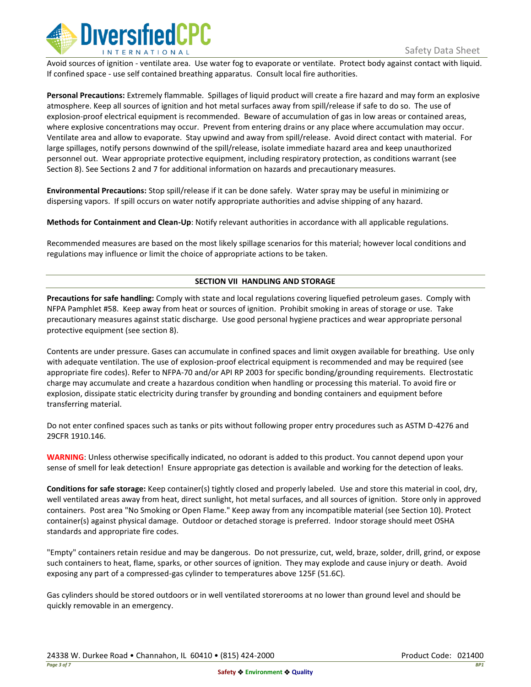

Avoid sources of ignition - ventilate area. Use water fog to evaporate or ventilate. Protect body against contact with liquid. If confined space - use self contained breathing apparatus. Consult local fire authorities.

**Personal Precautions:** Extremely flammable. Spillages of liquid product will create a fire hazard and may form an explosive atmosphere. Keep all sources of ignition and hot metal surfaces away from spill/release if safe to do so. The use of explosion-proof electrical equipment is recommended. Beware of accumulation of gas in low areas or contained areas, where explosive concentrations may occur. Prevent from entering drains or any place where accumulation may occur. Ventilate area and allow to evaporate. Stay upwind and away from spill/release. Avoid direct contact with material. For large spillages, notify persons downwind of the spill/release, isolate immediate hazard area and keep unauthorized personnel out. Wear appropriate protective equipment, including respiratory protection, as conditions warrant (see Section 8). See Sections 2 and 7 for additional information on hazards and precautionary measures.

**Environmental Precautions:** Stop spill/release if it can be done safely. Water spray may be useful in minimizing or dispersing vapors. If spill occurs on water notify appropriate authorities and advise shipping of any hazard.

**Methods for Containment and Clean-Up**: Notify relevant authorities in accordance with all applicable regulations.

Recommended measures are based on the most likely spillage scenarios for this material; however local conditions and regulations may influence or limit the choice of appropriate actions to be taken.

## **SECTION VII HANDLING AND STORAGE**

**Precautions for safe handling:** Comply with state and local regulations covering liquefied petroleum gases. Comply with NFPA Pamphlet #58. Keep away from heat or sources of ignition. Prohibit smoking in areas of storage or use. Take precautionary measures against static discharge. Use good personal hygiene practices and wear appropriate personal protective equipment (see section 8).

Contents are under pressure. Gases can accumulate in confined spaces and limit oxygen available for breathing. Use only with adequate ventilation. The use of explosion-proof electrical equipment is recommended and may be required (see appropriate fire codes). Refer to NFPA-70 and/or API RP 2003 for specific bonding/grounding requirements. Electrostatic charge may accumulate and create a hazardous condition when handling or processing this material. To avoid fire or explosion, dissipate static electricity during transfer by grounding and bonding containers and equipment before transferring material.

Do not enter confined spaces such as tanks or pits without following proper entry procedures such as ASTM D-4276 and 29CFR 1910.146.

**WARNING**: Unless otherwise specifically indicated, no odorant is added to this product. You cannot depend upon your sense of smell for leak detection! Ensure appropriate gas detection is available and working for the detection of leaks.

**Conditions for safe storage:** Keep container(s) tightly closed and properly labeled. Use and store this material in cool, dry, well ventilated areas away from heat, direct sunlight, hot metal surfaces, and all sources of ignition. Store only in approved containers. Post area "No Smoking or Open Flame." Keep away from any incompatible material (see Section 10). Protect container(s) against physical damage. Outdoor or detached storage is preferred. Indoor storage should meet OSHA standards and appropriate fire codes.

"Empty" containers retain residue and may be dangerous. Do not pressurize, cut, weld, braze, solder, drill, grind, or expose such containers to heat, flame, sparks, or other sources of ignition. They may explode and cause injury or death. Avoid exposing any part of a compressed-gas cylinder to temperatures above 125F (51.6C).

Gas cylinders should be stored outdoors or in well ventilated storerooms at no lower than ground level and should be quickly removable in an emergency.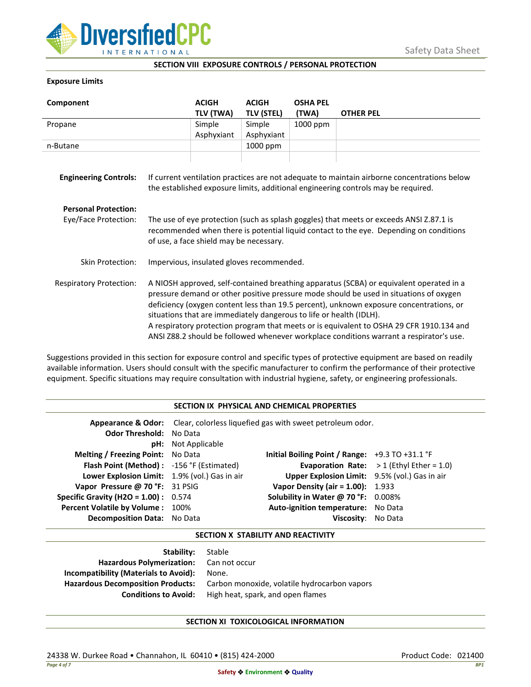

### **SECTION VIII EXPOSURE CONTROLS / PERSONAL PROTECTION**

## **Exposure Limits**

| Component                      |                                                                                                                                                                                                                                                                                                                                                                                                                                                                                                                                            | <b>ACIGH</b> | <b>ACIGH</b>      | <b>OSHA PEL</b> |                  |
|--------------------------------|--------------------------------------------------------------------------------------------------------------------------------------------------------------------------------------------------------------------------------------------------------------------------------------------------------------------------------------------------------------------------------------------------------------------------------------------------------------------------------------------------------------------------------------------|--------------|-------------------|-----------------|------------------|
|                                |                                                                                                                                                                                                                                                                                                                                                                                                                                                                                                                                            | TLV (TWA)    | <b>TLV (STEL)</b> | (TWA)           | <b>OTHER PEL</b> |
| Propane                        |                                                                                                                                                                                                                                                                                                                                                                                                                                                                                                                                            | Simple       | Simple            | 1000 ppm        |                  |
|                                |                                                                                                                                                                                                                                                                                                                                                                                                                                                                                                                                            | Asphyxiant   | Asphyxiant        |                 |                  |
| n-Butane                       |                                                                                                                                                                                                                                                                                                                                                                                                                                                                                                                                            |              | 1000 ppm          |                 |                  |
| <b>Engineering Controls:</b>   | If current ventilation practices are not adequate to maintain airborne concentrations below<br>the established exposure limits, additional engineering controls may be required.                                                                                                                                                                                                                                                                                                                                                           |              |                   |                 |                  |
| <b>Personal Protection:</b>    |                                                                                                                                                                                                                                                                                                                                                                                                                                                                                                                                            |              |                   |                 |                  |
| Eye/Face Protection:           | The use of eye protection (such as splash goggles) that meets or exceeds ANSI Z.87.1 is<br>recommended when there is potential liquid contact to the eye. Depending on conditions<br>of use, a face shield may be necessary.                                                                                                                                                                                                                                                                                                               |              |                   |                 |                  |
| Skin Protection:               | Impervious, insulated gloves recommended.                                                                                                                                                                                                                                                                                                                                                                                                                                                                                                  |              |                   |                 |                  |
| <b>Respiratory Protection:</b> | A NIOSH approved, self-contained breathing apparatus (SCBA) or equivalent operated in a<br>pressure demand or other positive pressure mode should be used in situations of oxygen<br>deficiency (oxygen content less than 19.5 percent), unknown exposure concentrations, or<br>situations that are immediately dangerous to life or health (IDLH).<br>A respiratory protection program that meets or is equivalent to OSHA 29 CFR 1910.134 and<br>ANSI Z88.2 should be followed whenever workplace conditions warrant a respirator's use. |              |                   |                 |                  |

Suggestions provided in this section for exposure control and specific types of protective equipment are based on readily available information. Users should consult with the specific manufacturer to confirm the performance of their protective equipment. Specific situations may require consultation with industrial hygiene, safety, or engineering professionals.

## **SECTION IX PHYSICAL AND CHEMICAL PROPERTIES**

| <b>Odor Threshold: No Data</b>                | <b>pH:</b> Not Applicable | Appearance & Odor: Clear, colorless liquefied gas with sweet petroleum odor. |                                                   |
|-----------------------------------------------|---------------------------|------------------------------------------------------------------------------|---------------------------------------------------|
| <b>Melting / Freezing Point:</b> No Data      |                           | Initial Boiling Point / Range: $+9.3$ TO $+31.1$ °F                          |                                                   |
| Flash Point (Method): -156 °F (Estimated)     |                           |                                                                              | <b>Evaporation Rate:</b> $>1$ (Ethyl Ether = 1.0) |
| Lower Explosion Limit: 1.9% (vol.) Gas in air |                           | Upper Explosion Limit: 9.5% (vol.) Gas in air                                |                                                   |
| Vapor Pressure @ 70 °F: 31 PSIG               |                           | <b>Vapor Density (air = 1.00):</b> 1.933                                     |                                                   |
| <b>Specific Gravity (H2O = 1.00):</b> $0.574$ |                           | Solubility in Water @ 70 °F: 0.008%                                          |                                                   |
| Percent Volatile by Volume: 100%              |                           | Auto-ignition temperature: No Data                                           |                                                   |
| <b>Decomposition Data:</b> No Data            |                           | Viscosity: No Data                                                           |                                                   |

### **SECTION X STABILITY AND REACTIVITY**

| <b>Stability:</b> Stable                     |
|----------------------------------------------|
| Hazardous Polymerization: Can not occur      |
| None.                                        |
| Carbon monoxide, volatile hydrocarbon vapors |
| High heat, spark, and open flames            |
|                                              |

# **SECTION XI TOXICOLOGICAL INFORMATION**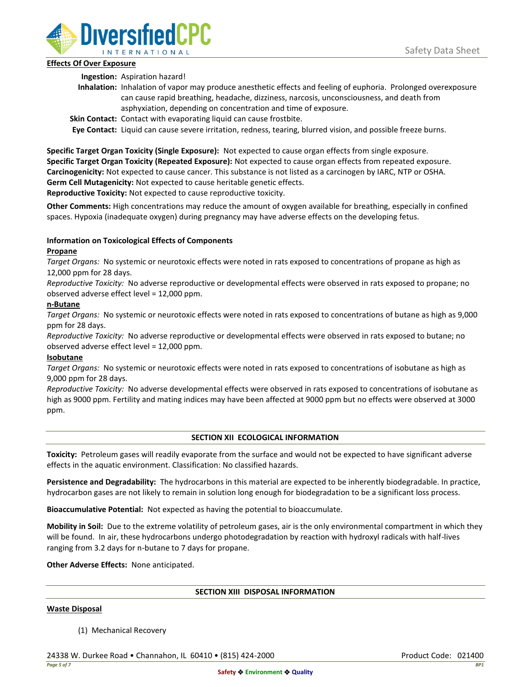

## **Effects Of Over Exposure**

**Ingestion:** Aspiration hazard!

- **Inhalation:** Inhalation of vapor may produce anesthetic effects and feeling of euphoria. Prolonged overexposure can cause rapid breathing, headache, dizziness, narcosis, unconsciousness, and death from asphyxiation, depending on concentration and time of exposure.
- **Skin Contact:** Contact with evaporating liquid can cause frostbite.

**Eye Contact:** Liquid can cause severe irritation, redness, tearing, blurred vision, and possible freeze burns.

**Specific Target Organ Toxicity (Single Exposure):** Not expected to cause organ effects from single exposure. **Specific Target Organ Toxicity (Repeated Exposure):** Not expected to cause organ effects from repeated exposure. **Carcinogenicity:** Not expected to cause cancer. This substance is not listed as a carcinogen by IARC, NTP or OSHA. **Germ Cell Mutagenicity:** Not expected to cause heritable genetic effects.

**Reproductive Toxicity:** Not expected to cause reproductive toxicity.

**Other Comments:** High concentrations may reduce the amount of oxygen available for breathing, especially in confined spaces. Hypoxia (inadequate oxygen) during pregnancy may have adverse effects on the developing fetus.

# **Information on Toxicological Effects of Components**

## **Propane**

*Target Organs:* No systemic or neurotoxic effects were noted in rats exposed to concentrations of propane as high as 12,000 ppm for 28 days.

*Reproductive Toxicity:* No adverse reproductive or developmental effects were observed in rats exposed to propane; no observed adverse effect level = 12,000 ppm.

## **n-Butane**

*Target Organs:* No systemic or neurotoxic effects were noted in rats exposed to concentrations of butane as high as 9,000 ppm for 28 days.

*Reproductive Toxicity:* No adverse reproductive or developmental effects were observed in rats exposed to butane; no observed adverse effect level = 12,000 ppm.

# **Isobutane**

*Target Organs:* No systemic or neurotoxic effects were noted in rats exposed to concentrations of isobutane as high as 9,000 ppm for 28 days.

*Reproductive Toxicity:* No adverse developmental effects were observed in rats exposed to concentrations of isobutane as high as 9000 ppm. Fertility and mating indices may have been affected at 9000 ppm but no effects were observed at 3000 ppm.

# **SECTION XII ECOLOGICAL INFORMATION**

**Toxicity:** Petroleum gases will readily evaporate from the surface and would not be expected to have significant adverse effects in the aquatic environment. Classification: No classified hazards.

**Persistence and Degradability:** The hydrocarbons in this material are expected to be inherently biodegradable. In practice, hydrocarbon gases are not likely to remain in solution long enough for biodegradation to be a significant loss process.

**Bioaccumulative Potential:** Not expected as having the potential to bioaccumulate.

**Mobility in Soil:** Due to the extreme volatility of petroleum gases, air is the only environmental compartment in which they will be found. In air, these hydrocarbons undergo photodegradation by reaction with hydroxyl radicals with half-lives ranging from 3.2 days for n-butane to 7 days for propane.

**Other Adverse Effects:** None anticipated.

### **SECTION XIII DISPOSAL INFORMATION**

### **Waste Disposal**

(1) Mechanical Recovery

24338 W. Durkee Road • Channahon, IL 60410 • (815) 424-2000 Product Code: 021400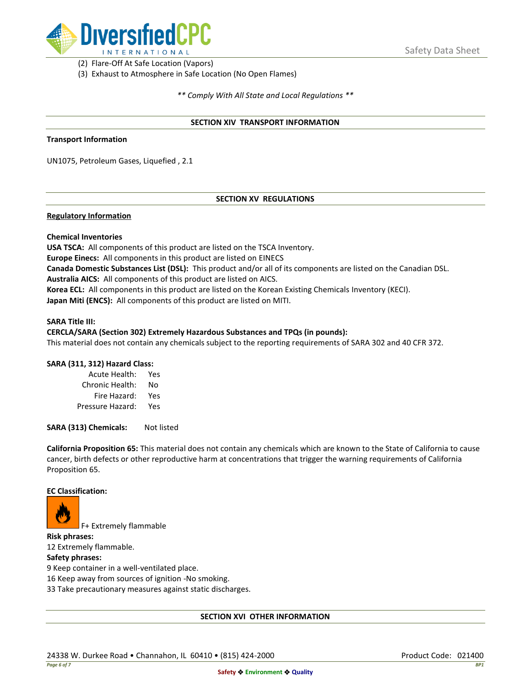

(2) Flare-Off At Safe Location (Vapors)

(3) Exhaust to Atmosphere in Safe Location (No Open Flames)

*\*\* Comply With All State and Local Regulations \*\**

### **SECTION XIV TRANSPORT INFORMATION**

### **Transport Information**

UN1075, Petroleum Gases, Liquefied , 2.1

## **SECTION XV REGULATIONS**

### **Regulatory Information**

### **Chemical Inventories**

**USA TSCA:** All components of this product are listed on the TSCA Inventory. **Europe Einecs:** All components in this product are listed on EINECS **Canada Domestic Substances List (DSL):** This product and/or all of its components are listed on the Canadian DSL. **Australia AICS:** All components of this product are listed on AICS. **Korea ECL:** All components in this product are listed on the Korean Existing Chemicals Inventory (KECI). **Japan Miti (ENCS):** All components of this product are listed on MITI.

#### **SARA Title III:**

### **CERCLA/SARA (Section 302) Extremely Hazardous Substances and TPQs (in pounds):**

This material does not contain any chemicals subject to the reporting requirements of SARA 302 and 40 CFR 372.

### **SARA (311, 312) Hazard Class:**

| Acute Health:    | Yes |
|------------------|-----|
| Chronic Health:  | No  |
| Fire Hazard:     | Yes |
| Pressure Hazard: | Yes |

**SARA (313) Chemicals:** Not listed

**California Proposition 65:** This material does not contain any chemicals which are known to the State of California to cause cancer, birth defects or other reproductive harm at concentrations that trigger the warning requirements of California Proposition 65.

### **EC Classification:**



F+ Extremely flammable

**Risk phrases:** 12 Extremely flammable.

## **Safety phrases:**

9 Keep container in a well-ventilated place.

16 Keep away from sources of ignition -No smoking.

33 Take precautionary measures against static discharges.

### **SECTION XVI OTHER INFORMATION**